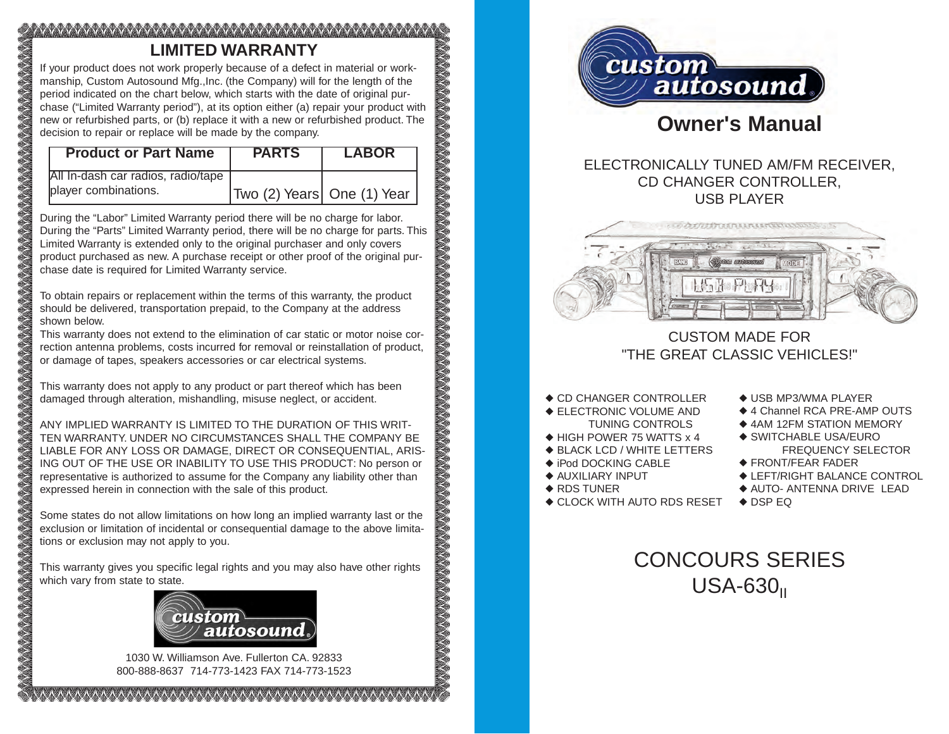# **LIMITED WARRANTY**

If your product does not work properly because of a defect in material or workmanship, Custom Autosound Mfg.,Inc. (the Company) will for the length of the period indicated on the chart below, which starts with the date of original purchase ("Limited Warranty period"), at its option either (a) repair your product with new or refurbished parts, or (b) replace it with a new or refurbished product. The decision to repair or replace will be made by the company.

| <b>Product or Part Name</b>        | <b>PARTS</b>                 | <b>LABOR</b> |
|------------------------------------|------------------------------|--------------|
| All In-dash car radios, radio/tape |                              |              |
| player combinations.               | Two (2) Years   One (1) Year |              |

During the "Labor" Limited Warranty period there will be no charge for labor. During the "Parts" Limited Warranty period, there will be no charge for parts. This Limited Warranty is extended only to the original purchaser and only covers product purchased as new. A purchase receipt or other proof of the original purchase date is required for Limited Warranty service.

To obtain repairs or replacement within the terms of this warranty, the product should be delivered, transportation prepaid, to the Company at the address shown below.

This warranty does not extend to the elimination of car static or motor noise correction antenna problems, costs incurred for removal or reinstallation of product, or damage of tapes, speakers accessories or car electrical systems.

This warranty does not apply to any product or part thereof which has been damaged through alteration, mishandling, misuse neglect, or accident.

ANY IMPLIED WARRANTY IS LIMITED TO THE DURATION OF THIS WRIT-TEN WARRANTY. UNDER NO CIRCUMSTANCES SHALL THE COMPANY BE LIABLE FOR ANY LOSS OR DAMAGE, DIRECT OR CONSEQUENTIAL, ARIS-ING OUT OF THE USE OR INABILITY TO USE THIS PRODUCT: No person or representative is authorized to assume for the Company any liability other than expressed herein in connection with the sale of this product.

Some states do not allow limitations on how long an implied warranty last or the exclusion or limitation of incidental or consequential damage to the above limitations or exclusion may not apply to you.

This warranty gives you specific legal rights and you may also have other rights which vary from state to state.



1030 W. Williamson Ave. Fullerton CA. 92833 800-888-8637 714-773-1423 FAX 714-773-1523



# **Owner's Manual**

# ELECTRONICALLY TUNED AM/FM RECEIVER, CD CHANGER CONTROLLER, USB PLAYER



# CUSTOM MADE FOR "THE GREAT CLASSIC VEHICLES!"

◆ CD CHANGER CONTROLLER

- ◆ ELECTRONIC VOLUME AND TUNING CONTROLS
- ◆ HIGH POWER 75 WATTS x 4
- ◆ BLACK LCD / WHITE LETTERS
- ◆ iPod DOCKING CABLE
- ◆ AUXILIARY INPUT
- ◆ RDS TUNER

◆ CLOCK WITH AUTO RDS RESET

- ◆ USB MP3/WMA PLAYER
- ◆ 4 Channel RCA PRE-AMP OUTS
- ◆ 4AM 12FM STATION MEMORY
- ◆ SWITCHABLE USA/EURO FREQUENCY SELECTOR
- ◆ FRONT/FEAR FADER
- ◆ LEFT/RIGHT BALANCE CONTROL
- ◆ AUTO- ANTENNA DRIVE LEAD
- ◆ DSP EQ

# CONCOURS SERIES  $USA-630<sub>II</sub>$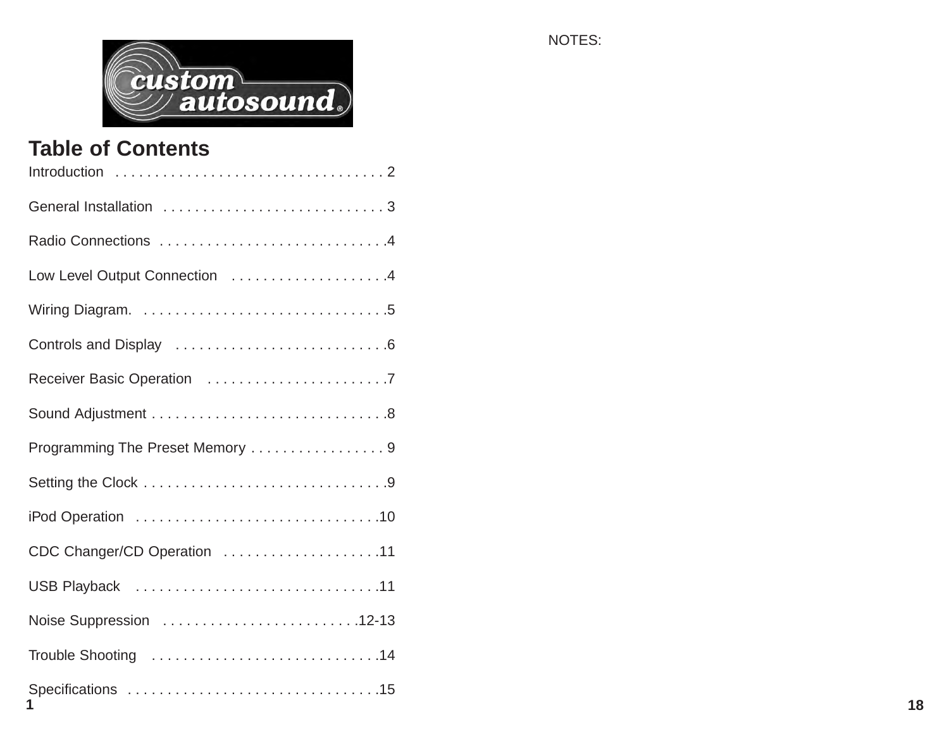

# **Table of Contents**

| Low Level Output Connection 4   |    |
|---------------------------------|----|
|                                 |    |
|                                 |    |
|                                 |    |
|                                 |    |
| Programming The Preset Memory 9 |    |
|                                 |    |
|                                 |    |
| CDC Changer/CD Operation 11     |    |
|                                 |    |
|                                 |    |
|                                 |    |
|                                 | 18 |

NOTES: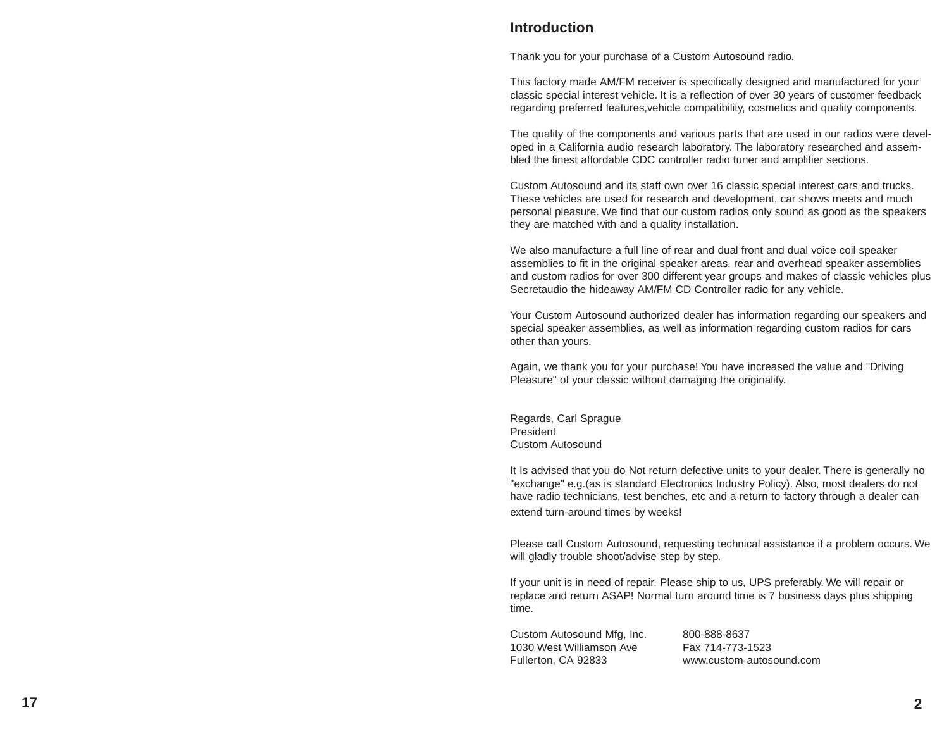# **Introduction**

Thank you for your purchase of a Custom Autosound radio.

This factory made AM/FM receiver is specifically designed and manufactured for your classic special interest vehicle. It is a reflection of over 30 years of customer feedback regarding preferred features,vehicle compatibility, cosmetics and quality components.

The quality of the components and various parts that are used in our radios were developed in a California audio research laboratory. The laboratory researched and assembled the finest affordable CDC controller radio tuner and amplifier sections.

Custom Autosound and its staff own over 16 classic special interest cars and trucks. These vehicles are used for research and development, car shows meets and much personal pleasure. We find that our custom radios only sound as good as the speakers they are matched with and a quality installation.

We also manufacture a full line of rear and dual front and dual voice coil speaker assemblies to fit in the original speaker areas, rear and overhead speaker assemblies and custom radios for over 300 different year groups and makes of classic vehicles plus Secretaudio the hideaway AM/FM CD Controller radio for any vehicle.

Your Custom Autosound authorized dealer has information regarding our speakers and special speaker assemblies, as well as information regarding custom radios for cars other than yours.

Again, we thank you for your purchase! You have increased the value and "Driving Pleasure" of your classic without damaging the originality.

Regards, Carl Sprague President Custom Autosound

It Is advised that you do Not return defective units to your dealer. There is generally no "exchange" e.g.(as is standard Electronics Industry Policy). Also, most dealers do not have radio technicians, test benches, etc and a return to factory through a dealer can extend turn-around times by weeks!

Please call Custom Autosound, requesting technical assistance if a problem occurs. We will gladly trouble shoot/advise step by step.

If your unit is in need of repair, Please ship to us, UPS preferably. We will repair or replace and return ASAP! Normal turn around time is 7 business days plus shipping time.

Custom Autosound Mfg, Inc. 800-888-8637 1030 West Williamson Ave Fax 714-773-1523 Fullerton, CA 92833 www.custom-autosound.com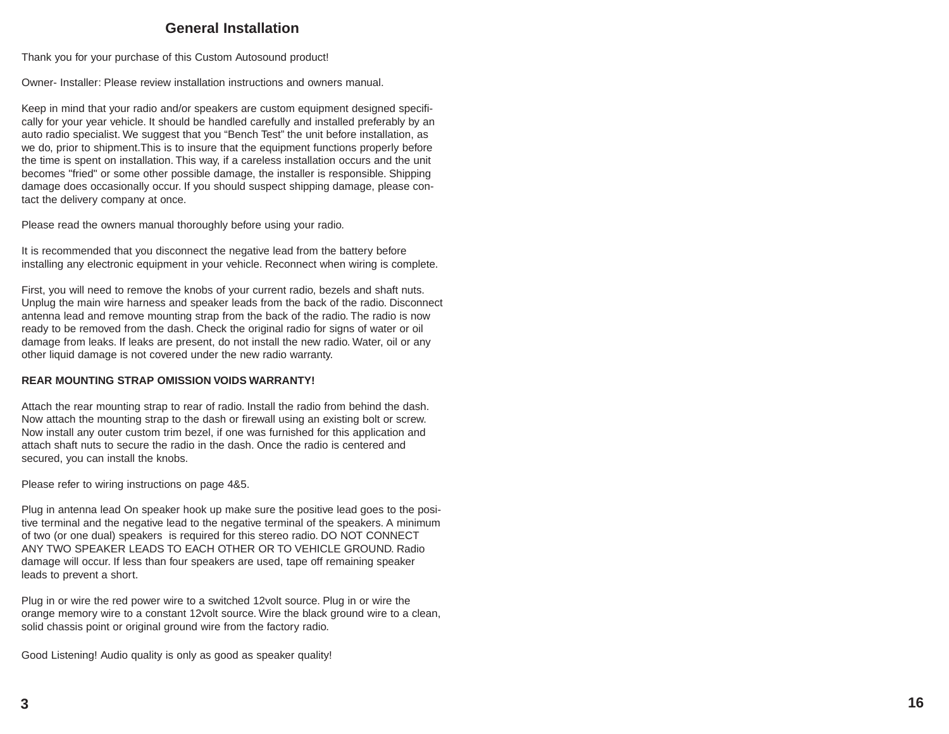# **General Installation**

Thank you for your purchase of this Custom Autosound product!

Owner- Installer: Please review installation instructions and owners manual.

Keep in mind that your radio and/or speakers are custom equipment designed specifically for your year vehicle. It should be handled carefully and installed preferably by an auto radio specialist. We suggest that you "Bench Test" the unit before installation, as we do, prior to shipment.This is to insure that the equipment functions properly before the time is spent on installation. This way, if a careless installation occurs and the unit becomes "fried" or some other possible damage, the installer is responsible. Shipping damage does occasionally occur. If you should suspect shipping damage, please contact the delivery company at once.

Please read the owners manual thoroughly before using your radio.

It is recommended that you disconnect the negative lead from the battery before installing any electronic equipment in your vehicle. Reconnect when wiring is complete.

First, you will need to remove the knobs of your current radio, bezels and shaft nuts. Unplug the main wire harness and speaker leads from the back of the radio. Disconnect antenna lead and remove mounting strap from the back of the radio. The radio is now ready to be removed from the dash. Check the original radio for signs of water or oil damage from leaks. If leaks are present, do not install the new radio. Water, oil or any other liquid damage is not covered under the new radio warranty.

#### **REAR MOUNTING STRAP OMISSION VOIDS WARRANTY!**

Attach the rear mounting strap to rear of radio. Install the radio from behind the dash. Now attach the mounting strap to the dash or firewall using an existing bolt or screw. Now install any outer custom trim bezel, if one was furnished for this application and attach shaft nuts to secure the radio in the dash. Once the radio is centered and secured, you can install the knobs.

Please refer to wiring instructions on page 4&5.

Plug in antenna lead On speaker hook up make sure the positive lead goes to the positive terminal and the negative lead to the negative terminal of the speakers. A minimum of two (or one dual) speakers is required for this stereo radio. DO NOT CONNECT ANY TWO SPEAKER LEADS TO EACH OTHER OR TO VEHICLE GROUND. Radio damage will occur. If less than four speakers are used, tape off remaining speaker leads to prevent a short.

Plug in or wire the red power wire to a switched 12volt source. Plug in or wire the orange memory wire to a constant 12volt source. Wire the black ground wire to a clean, solid chassis point or original ground wire from the factory radio.

Good Listening! Audio quality is only as good as speaker quality!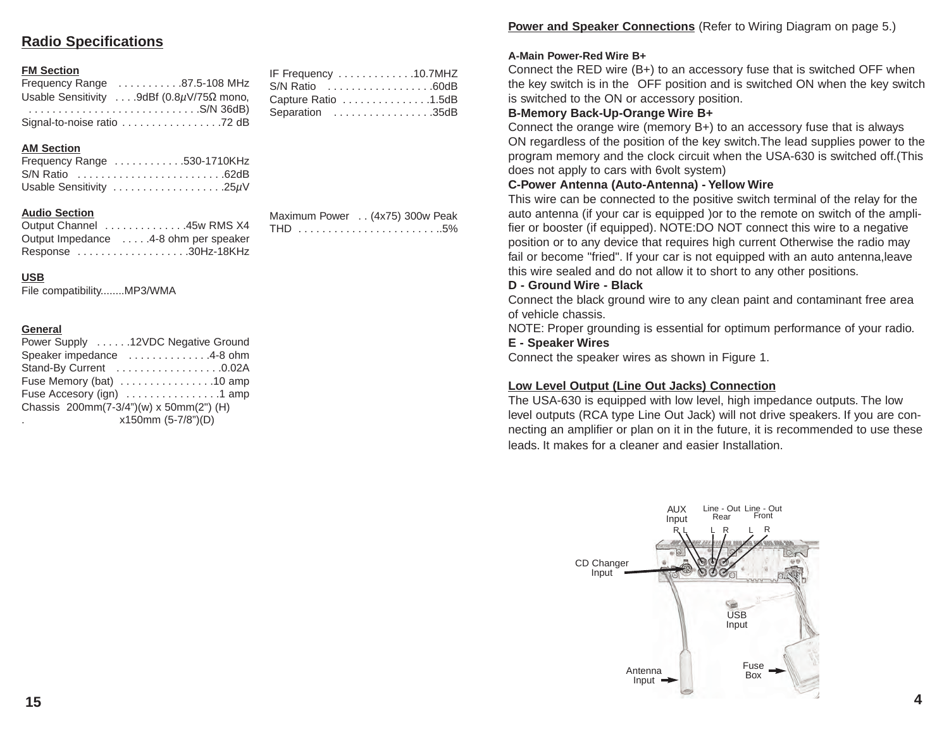# **Radio Specifications**

# **FM Section**

| Frequency Range 87.5-108 MHz                               |
|------------------------------------------------------------|
| Usable Sensitivity  .9dBf $(0.8\mu\text{V}/75\Omega$ mono, |
|                                                            |
|                                                            |

# **AM Section**

| Frequency Range 530-1710KHz |  |  |  |  |  |  |  |  |  |  |
|-----------------------------|--|--|--|--|--|--|--|--|--|--|
| S/N Ratio 62dB              |  |  |  |  |  |  |  |  |  |  |
| Usable Sensitivity 25µV     |  |  |  |  |  |  |  |  |  |  |

# **Audio Section**

| Output Channel 45w RMS X4            |  |
|--------------------------------------|--|
| Output Impedance 4-8 ohm per speaker |  |
| Response 30Hz-18KHz                  |  |

# Maximum Power . . (4x75) 300w Peak THD . . . . . . . . . . . . . . . . . . . . . . . ..5%

IF Frequency . . . . . . . . . . . . .10.7MHZ S/N Ratio . . . . . . . . . . . . . . . . . .60dB Capture Ratio . . . . . . . . . . . . . . .1.5dB Separation . . . . . . . . . . . . . . . . .35dB

# **USB**

File compatibility........MP3/WMA

# **General**

| Power Supply 12VDC Negative Ground      |                    |
|-----------------------------------------|--------------------|
| Speaker impedance 4-8 ohm               |                    |
| Stand-By Current 0.02A                  |                    |
| Fuse Memory (bat) 10 amp                |                    |
| Fuse Accesory (ign) 1 amp               |                    |
| Chassis 200mm(7-3/4")(w) x 50mm(2") (H) |                    |
| ٠                                       | x150mm (5-7/8")(D) |

# **Power and Speaker Connections** (Refer to Wiring Diagram on page 5.)

# **A-Main Power-Red Wire B+**

Connect the RED wire (B+) to an accessory fuse that is switched OFF when the key switch is in the OFF position and is switched ON when the key switch is switched to the ON or accessory position.

# **B-Memory Back-Up-Orange Wire B+**

Connect the orange wire (memory B+) to an accessory fuse that is always ON regardless of the position of the key switch.The lead supplies power to the program memory and the clock circuit when the USA-630 is switched off.(This does not apply to cars with 6volt system)

# **C-Power Antenna (Auto-Antenna) - Yellow Wire**

This wire can be connected to the positive switch terminal of the relay for the auto antenna (if your car is equipped )or to the remote on switch of the amplifier or booster (if equipped). NOTE:DO NOT connect this wire to a negative position or to any device that requires high current Otherwise the radio may fail or become "fried". If your car is not equipped with an auto antenna,leave this wire sealed and do not allow it to short to any other positions.

#### **D - Ground Wire - Black**

Connect the black ground wire to any clean paint and contaminant free area of vehicle chassis.

NOTE: Proper grounding is essential for optimum performance of your radio.

# **E - Speaker Wires**

Connect the speaker wires as shown in Figure 1.

# **Low Level Output (Line Out Jacks) Connection**

The USA-630 is equipped with low level, high impedance outputs. The low level outputs (RCA type Line Out Jack) will not drive speakers. If you are connecting an amplifier or plan on it in the future, it is recommended to use these leads. It makes for a cleaner and easier Installation.

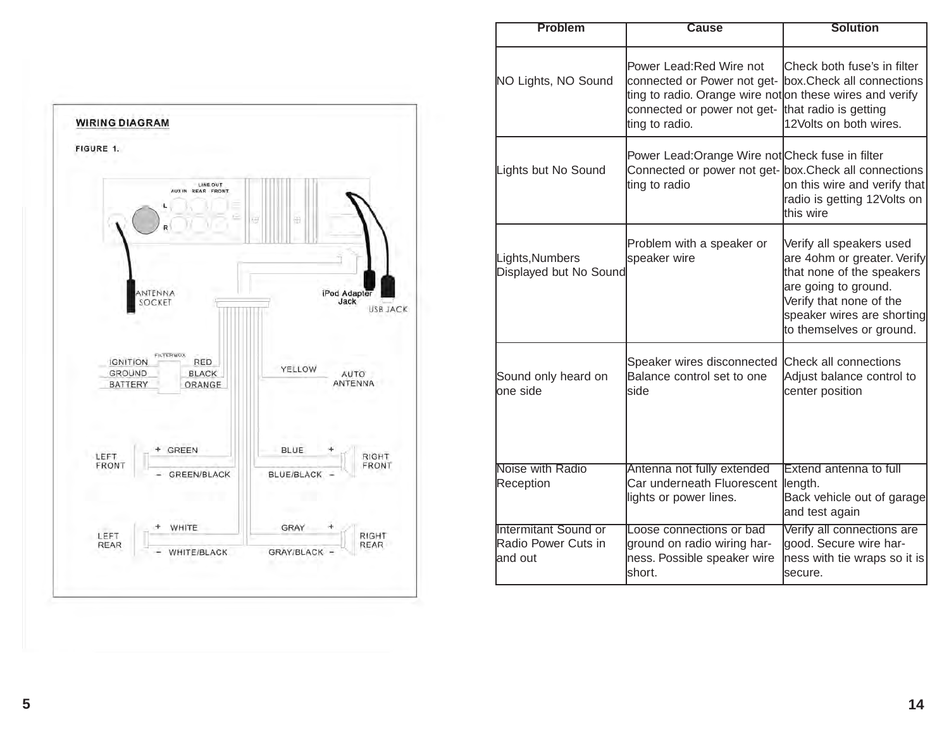

| <b>Problem</b>                                                | Cause                                                                                                                                                                | <b>Solution</b>                                                                                                                                                                                   |
|---------------------------------------------------------------|----------------------------------------------------------------------------------------------------------------------------------------------------------------------|---------------------------------------------------------------------------------------------------------------------------------------------------------------------------------------------------|
| NO Lights, NO Sound                                           | Power Lead: Red Wire not<br>connected or Power not get-<br>ting to radio. Orange wire not on these wires and verify<br>connected or power not get-<br>ting to radio. | Check both fuse's in filter<br>box.Check all connections<br>that radio is getting<br>12Volts on both wires.                                                                                       |
| Lights but No Sound                                           | Power Lead:Orange Wire not Check fuse in filter<br>Connected or power not get- box. Check all connections<br>ting to radio                                           | on this wire and verify that<br>radio is getting 12Volts on<br>this wire                                                                                                                          |
| Lights, Numbers<br>Displayed but No Sound                     | Problem with a speaker or<br>speaker wire                                                                                                                            | Verify all speakers used<br>are 4ohm or greater. Verify<br>that none of the speakers<br>are going to ground.<br>Verify that none of the<br>speaker wires are shorting<br>to themselves or ground. |
| Sound only heard on<br>one side                               | Speaker wires disconnected<br>Balance control set to one<br>side                                                                                                     | Check all connections<br>Adjust balance control to<br>center position                                                                                                                             |
| Noise with Radio<br>Reception                                 | Antenna not fully extended<br>Car underneath Fluorescent<br>lights or power lines.                                                                                   | <b>Extend antenna to full</b><br>length.<br>Back vehicle out of garage<br>and test again                                                                                                          |
| <b>Intermitant Sound or</b><br>Radio Power Cuts in<br>and out | Loose connections or bad<br>ground on radio wiring har-<br>ness. Possible speaker wire<br>short.                                                                     | Verify all connections are<br>good. Secure wire har-<br>ness with tie wraps so it is<br>secure.                                                                                                   |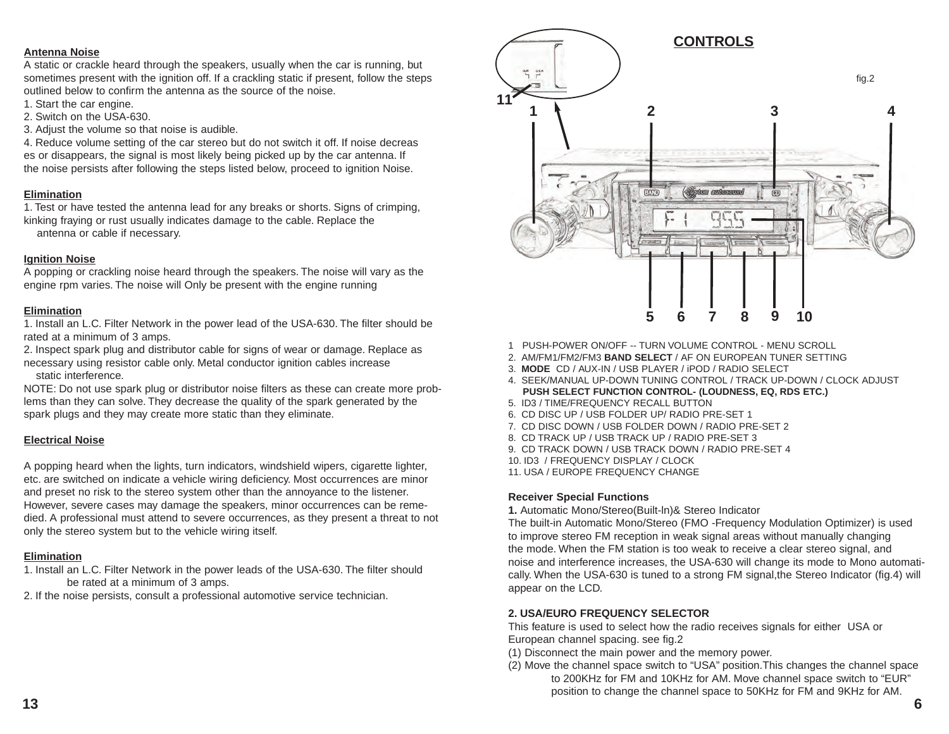#### **Antenna Noise**

A static or crackle heard through the speakers, usually when the car is running, but sometimes present with the ignition off. If a crackling static if present, follow the steps outlined below to confirm the antenna as the source of the noise.

- 1. Start the car engine.
- 2. Switch on the USA-630.
- 3. Adjust the volume so that noise is audible.

4. Reduce volume setting of the car stereo but do not switch it off. If noise decreas es or disappears, the signal is most likely being picked up by the car antenna. If the noise persists after following the steps listed below, proceed to ignition Noise.

#### **Elimination**

1. Test or have tested the antenna lead for any breaks or shorts. Signs of crimping, kinking fraying or rust usually indicates damage to the cable. Replace the

antenna or cable if necessary.

#### **Ignition Noise**

A popping or crackling noise heard through the speakers. The noise will vary as the engine rpm varies. The noise will Only be present with the engine running

#### **Elimination**

1. Install an L.C. Filter Network in the power lead of the USA-630. The filter should be . rated at a minimum of 3 amps.

2. Inspect spark plug and distributor cable for signs of wear or damage. Replace as necessary using resistor cable only. Metal conductor ignition cables increase . static interference.

NOTE: Do not use spark plug or distributor noise filters as these can create more problems than they can solve. They decrease the quality of the spark generated by the spark plugs and they may create more static than they eliminate.

#### **Electrical Noise**

A popping heard when the lights, turn indicators, windshield wipers, cigarette lighter, etc. are switched on indicate a vehicle wiring deficiency. Most occurrences are minor and preset no risk to the stereo system other than the annoyance to the listener. However, severe cases may damage the speakers, minor occurrences can be remedied. A professional must attend to severe occurrences, as they present a threat to not only the stereo system but to the vehicle wiring itself.

#### **Elimination**

- 1. Install an L.C. Filter Network in the power leads of the USA-630. The filter should be rated at a minimum of 3 amps.
- 2. If the noise persists, consult a professional automotive service technician.



- 1 PUSH-POWER ON/OFF -- TURN VOLUME CONTROL MENU SCROLL
- 2. AM/FM1/FM2/FM3 **BAND SELECT** / AF ON EUROPEAN TUNER SETTING
- 3. **MODE** CD / AUX-IN / USB PLAYER / iPOD / RADIO SELECT
- 4. SEEK/MANUAL UP-DOWN TUNING CONTROL / TRACK UP-DOWN / CLOCK ADJUST **PUSH SELECT FUNCTION CONTROL- (LOUDNESS, EQ, RDS ETC.)**
- 5. ID3 / TIME/FREQUENCY RECALL BUTTON
- 6. CD DISC UP / USB FOLDER UP/ RADIO PRE-SET 1
- 7. CD DISC DOWN / USB FOLDER DOWN / RADIO PRE-SET 2
- 8. CD TRACK UP / USB TRACK UP / RADIO PRE-SET 3
- 9. CD TRACK DOWN / USB TRACK DOWN / RADIO PRE-SET 4
- 10. ID3 / FREQUENCY DISPLAY / CLOCK
- 11. USA / EUROPE FREQUENCY CHANGE

#### **Receiver Special Functions**

**1.** Automatic Mono/Stereo(Built-ln)& Stereo Indicator

The built-in Automatic Mono/Stereo (FMO -Frequency Modulation Optimizer) is used to improve stereo FM reception in weak signal areas without manually changing the mode. When the FM station is too weak to receive a clear stereo signal, and noise and interference increases, the USA-630 will change its mode to Mono automatically. When the USA-630 is tuned to a strong FM signal,the Stereo Indicator (fig.4) will appear on the LCD.

#### **2. USA/EURO FREQUENCY SELECTOR**

This feature is used to select how the radio receives signals for either USA or European channel spacing. see fig.2

- (1) Disconnect the main power and the memory power.
- (2) Move the channel space switch to "USA" position.This changes the channel space to 200KHz for FM and 10KHz for AM. Move channel space switch to "EUR" position to change the channel space to 50KHz for FM and 9KHz for AM.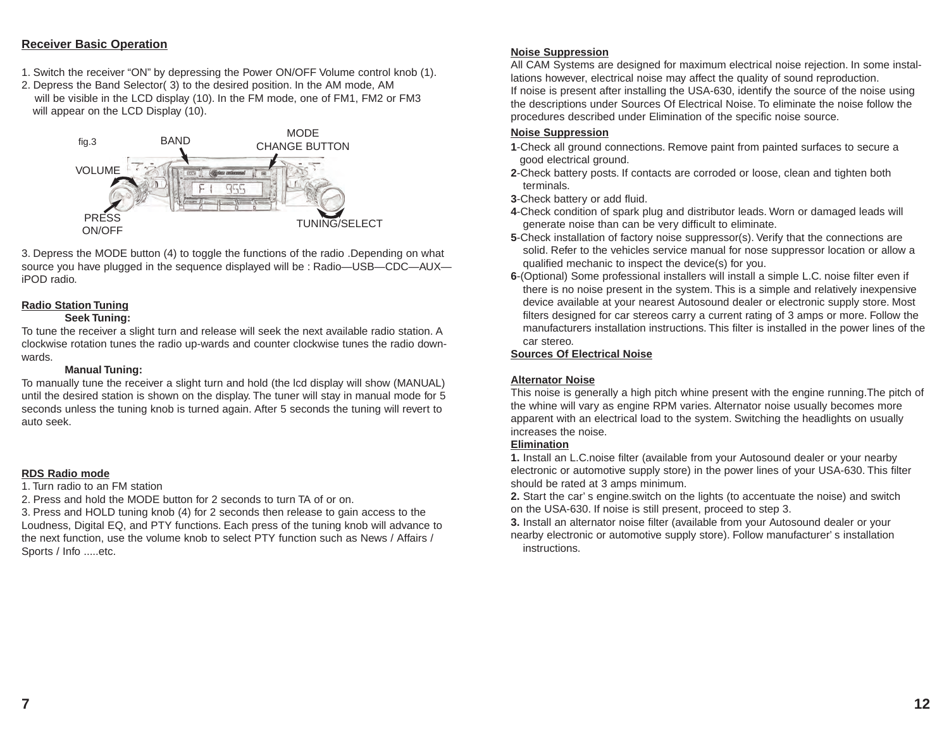#### **Receiver Basic Operation**

- 1. Switch the receiver "ON" by depressing the Power ON/OFF Volume control knob (1).
- 2. Depress the Band Selector( 3) to the desired position. In the AM mode, AM will be visible in the LCD display (10). In the FM mode, one of FM1, FM2 or FM3 will appear on the LCD Display (10).



3. Depress the MODE button (4) to toggle the functions of the radio .Depending on what source you have plugged in the sequence displayed will be : Radio—USB—CDC—AUX iPOD radio. .

# **Radio Station Tuning**

#### **Seek Tuning:**

To tune the receiver a slight turn and release will seek the next available radio station. A clockwise rotation tunes the radio up-wards and counter clockwise tunes the radio downwards.

#### **Manual Tuning:**

To manually tune the receiver a slight turn and hold (the lcd display will show (MANUAL) until the desired station is shown on the display. The tuner will stay in manual mode for 5 seconds unless the tuning knob is turned again. After 5 seconds the tuning will revert to auto seek.

## **RDS Radio mode**

1. Turn radio to an FM station

2. Press and hold the MODE button for 2 seconds to turn TA of or on.

3. Press and HOLD tuning knob (4) for 2 seconds then release to gain access to the Loudness, Digital EQ, and PTY functions. Each press of the tuning knob will advance to the next function, use the volume knob to select PTY function such as News / Affairs / Sports / Info .....etc.

#### **Noise Suppression**

All CAM Systems are designed for maximum electrical noise rejection. In some installations however, electrical noise may affect the quality of sound reproduction. If noise is present after installing the USA-630, identify the source of the noise using the descriptions under Sources Of Electrical Noise. To eliminate the noise follow the procedures described under Elimination of the specific noise source.

# **Noise Suppression**

- **1**-Check all ground connections. Remove paint from painted surfaces to secure a . good electrical ground.
- **2**-Check battery posts. If contacts are corroded or loose, clean and tighten both . terminals.
- **3**-Check battery or add fluid.
- **4**-Check condition of spark plug and distributor leads. Worn or damaged leads will . generate noise than can be very difficult to eliminate.
- **5**-Check installation of factory noise suppressor(s). Verify that the connections are solid. Refer to the vehicles service manual for nose suppressor location or allow a . qualified mechanic to inspect the device(s) for you.
- **6**-(Optional) Some professional installers will install a simple L.C. noise filter even if there is no noise present in the system. This is a simple and relatively inexpensive . device available at your nearest Autosound dealer or electronic supply store. Most . filters designed for car stereos carry a current rating of 3 amps or more. Follow the . manufacturers installation instructions. This filter is installed in the power lines of the . car stereo.

## **Sources Of Electrical Noise**

## **Alternator Noise**

This noise is generally a high pitch whine present with the engine running.The pitch of the whine will vary as engine RPM varies. Alternator noise usually becomes more apparent with an electrical load to the system. Switching the headlights on usually increases the noise.

## **Elimination**

**1.** Install an L.C.noise filter (available from your Autosound dealer or your nearby . electronic or automotive supply store) in the power lines of your USA-630. This filter should be rated at 3 amps minimum.

**2.** Start the car' s engine.switch on the lights (to accentuate the noise) and switch . . on the USA-630. If noise is still present, proceed to step 3.

**3.** Install an alternator noise filter (available from your Autosound dealer or your nearby electronic or automotive supply store). Follow manufacturer' s installation . . instructions.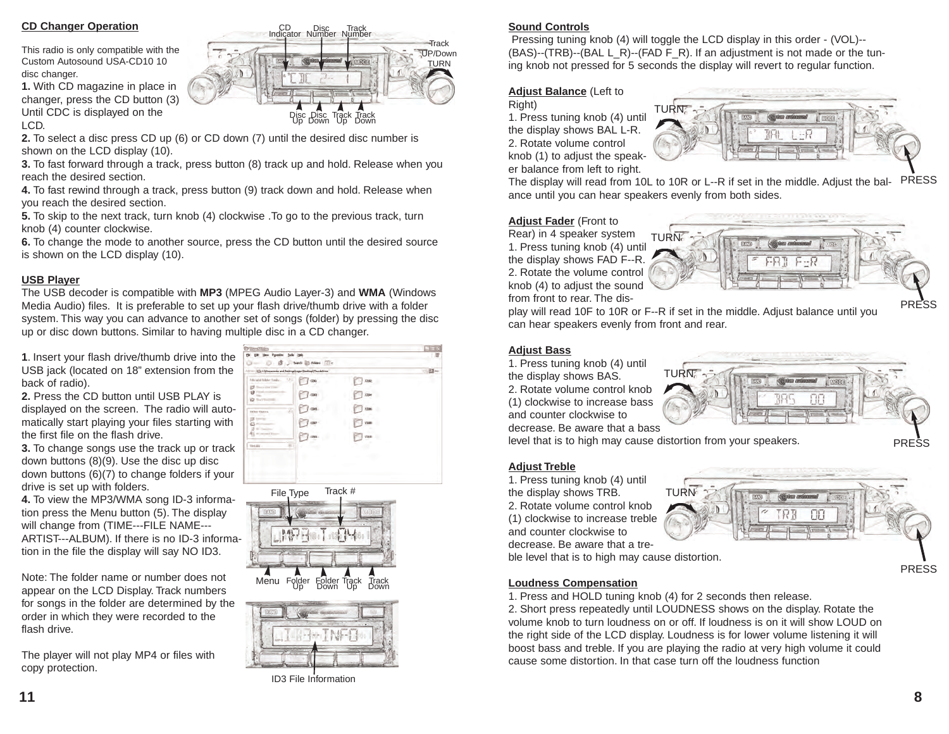## **CD Changer Operation**

This radio is only compatible with the Custom Autosound USA-CD10 10 disc changer.

**1.** With CD magazine in place in changer, press the CD button (3) Until CDC is displayed on the LCD.

**2.** To select a disc press CD up (6) or CD down (7) until the desired disc number is shown on the LCD display (10).

**3.** To fast forward through a track, press button (8) track up and hold. Release when you reach the desired section.

**4.** To fast rewind through a track, press button (9) track down and hold. Release when you reach the desired section.

**5.** To skip to the next track, turn knob (4) clockwise . To go to the previous track, turn knob (4) counter clockwise.

**6.** To change the mode to another source, press the CD button until the desired source is shown on the LCD display (10).

#### **USB Player**

The USB decoder is compatible with **MP3** (MPEG Audio Layer-3) and **WMA** (Windows Media Audio) files. It is preferable to set up your flash drive/thumb drive with a folder system. This way you can advance to another set of songs (folder) by pressing the disc up or disc down buttons. Similar to having multiple disc in a CD changer.

**1**. Insert your flash drive/thumb drive into the USB jack (located on 18" extension from the back of radio).

**2.** Press the CD button until USB PLAY is displayed on the screen. The radio will automatically start playing your files starting with the first file on the flash drive.

**3.** To change songs use the track up or track down buttons (8)(9). Use the disc up disc down buttons (6)(7) to change folders if your drive is set up with folders.

**4.** To view the MP3/WMA song ID-3 information press the Menu button (5). The display will change from (TIME---FILE NAME--- ARTIST---ALBUM). If there is no ID-3 information in the file the display will say NO ID3.

Note: The folder name or number does not appear on the LCD Display. Track numbers for songs in the folder are determined by the order in which they were recorded to the flash drive.

The player will not play MP4 or files with copy protection.

| DR Men Pprotes Jolk 1980<br>해                               | D : (B) J best B Mas (TIT) |                  |           |
|-------------------------------------------------------------|----------------------------|------------------|-----------|
| (E) C@houremits and Settings(reger) Dealiboal (Thursdations |                            |                  | $ 0.5$ as |
| Nicald Nile-Tasks<br>181<br><b>CONTRACTOR</b>               | CDG1                       | come             |           |
| POM-HO                                                      | com                        | 3284             |           |
| <b>Tichen Elgens</b>                                        | csid                       | cos              |           |
|                                                             | CBIL!                      | COOL             |           |
|                                                             | CDIN                       | CDH <sub>D</sub> |           |
| $-1.000$                                                    |                            |                  |           |
|                                                             |                            |                  |           |
|                                                             |                            |                  |           |

CD Disc Track<br>Indicator Number Number

Disc Disc Track Track<br>Up Down Up Down





ID3 File Information

## **Sound Controls**

**Track** UP/Down TURN

Pressing tuning knob (4) will toggle the LCD display in this order - (VOL)-- (BAS)--(TRB)--(BAL L\_R)--(FAD F\_R). If an adjustment is not made or the tuning knob not pressed for 5 seconds the display will revert to regular function.

#### **Adjust Balance** (Left to

Right) 1. Press tuning knob (4) until the display shows BAL L-R. 2. Rotate volume control knob (1) to adjust the speaker balance from left to right.



The display will read from 10L to 10R or L--R if set in the middle. Adjust the bal-PRESS ance until you can hear speakers evenly from both sides.

#### **Adjust Fader** (Front to

Rear) in 4 speaker system 1. Press tuning knob (4) until the display shows FAD F--R. 2. Rotate the volume control knob (4) to adjust the sound from front to rear. The dis-



play will read 10F to 10R or F--R if set in the middle. Adjust balance until you can hear speakers evenly from front and rear.

#### **Adjust Bass**

1. Press tuning knob (4) until the display shows BAS. 2. Rotate volume control knob (1) clockwise to increase bass and counter clockwise to



level that is to high may cause distortion from your speakers.

#### **Adjust Treble**

1. Press tuning knob (4) until the display shows TRB. 2. Rotate volume control knob (1) clockwise to increase treble and counter clockwise to decrease. Be aware that a tre-TURN

ble level that is to high may cause distortion.

#### **Loudness Compensation**

1. Press and HOLD tuning knob (4) for 2 seconds then release.

2. Short press repeatedly until LOUDNESS shows on the display. Rotate the volume knob to turn loudness on or off. If loudness is on it will show LOUD on the right side of the LCD display. Loudness is for lower volume listening it will boost bass and treble. If you are playing the radio at very high volume it could cause some distortion. In that case turn off the loudness function

PRESS

PRESS